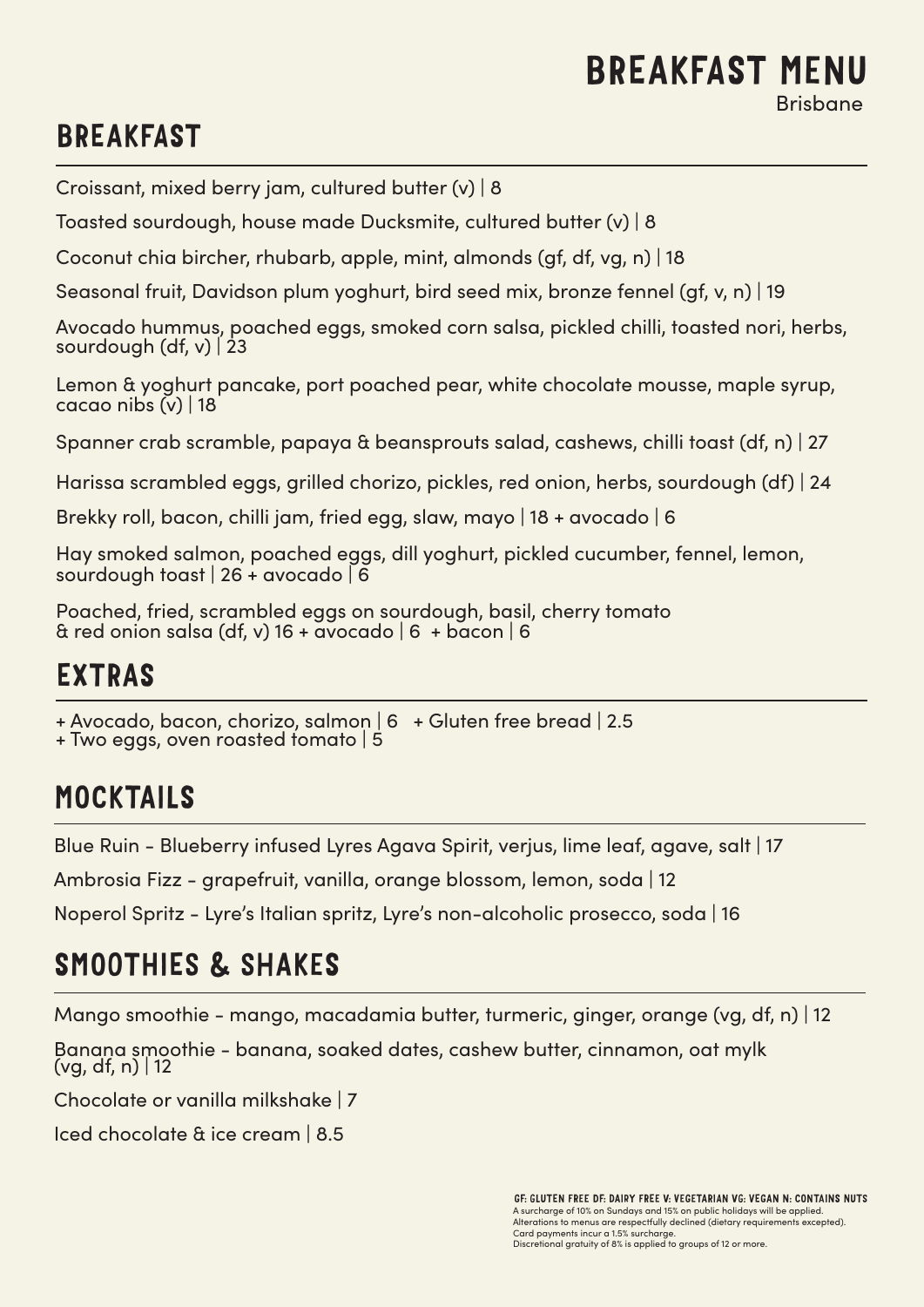#### BREAKFAST MENU Brisbane

## BREAKFAST

Croissant, mixed berry jam, cultured butter (v) | 8

Toasted sourdough, house made Ducksmite, cultured butter (v) | 8

Coconut chia bircher, rhubarb, apple, mint, almonds (gf, df, vg, n) | 18

Seasonal fruit, Davidson plum yoghurt, bird seed mix, bronze fennel (gf, v, n) | 19

Avocado hummus, poached eggs, smoked corn salsa, pickled chilli, toasted nori, herbs, sourdough (df,  $v$ ) 23

Lemon & yoghurt pancake, port poached pear, white chocolate mousse, maple syrup, cacao nibs (v) | 18

Spanner crab scramble, papaya & beansprouts salad, cashews, chilli toast (df, n) | 27

Harissa scrambled eggs, grilled chorizo, pickles, red onion, herbs, sourdough (df) | 24

Brekky roll, bacon, chilli jam, fried egg, slaw, mayo | 18 + avocado | 6

Hay smoked salmon, poached eggs, dill yoghurt, pickled cucumber, fennel, lemon, sourdough toast | 26 + avocado | 6

Poached, fried, scrambled eggs on sourdough, basil, cherry tomato  $\alpha$  red onion salsa (df, v) 16 + avocado | 6 + bacon | 6

## EXTRAS

+ Avocado, bacon, chorizo, salmon | 6 + Gluten free bread | 2.5

+ Two eggs, oven roasted tomato | 5

## MOCKTAILS

Blue Ruin - Blueberry infused Lyres Agava Spirit, verjus, lime leaf, agave, salt | 17

Ambrosia Fizz - grapefruit, vanilla, orange blossom, lemon, soda | 12

Noperol Spritz - Lyre's Italian spritz, Lyre's non-alcoholic prosecco, soda | 16

# SMOOTHIES & SHAKES

Mango smoothie - mango, macadamia butter, turmeric, ginger, orange (vg, df, n) | 12

Banana smoothie - banana, soaked dates, cashew butter, cinnamon, oat mylk  $(vq, df, n)$  | 12

Chocolate or vanilla milkshake | 7

Iced chocolate & ice cream | 8.5